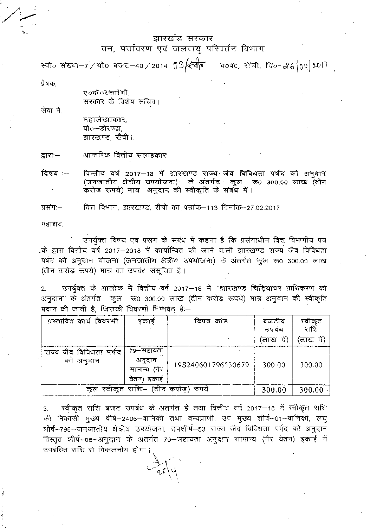## झारखंड सरकार <u>वन, पर्यावरण एवं जलवायु परिवर्तन विभाग</u>

स्वी० संख्या-7/यो0 बजट-40/2014 03  $\leftarrow$ वी व0प0, राँची, दि०-26 04 2017

प्रेषक.

ए०के ०रस्तोगी. सरकार के विशेष सचिव।

सेवा में.

महालेखाकार, पो०-डोरण्डा. झारखण्ड, राँची।.

आन्तरिक वित्तीय सलाहकार द्वाराः—

वित्तीय वर्ष 2017–18 में झारखण्ड राज्य जैव विविधता पर्षद को अनुदान विषय :--(जनजातीय क्षेत्रीय उपयोजना) के अंतर्गत कुल रू0 300.00 लाख (तीन करोड़ रूपये) मात्र अनुदान की स्वीकृति के राबंध में।

वित्त विभाग, झारखण्ड, राँची का पत्रांक–113 दिनांक–27.02.2017 प्रसंग:—

महाशय,

उपर्युक्त विषय एवं प्रसंग के संबंध में कहना है कि प्रसंगाधीन वित्त विभागीय पत्र .के द्वारा वित्तीय वर्ष 2017—2018 में कार्यान्वित की जाने वाली झारखण्ड राज्य जैव विविधता पर्षद को अनुदान योजना (जनजातीय क्षेत्रीय उपयोजना) के अंतर्गत कुल रू0 300.00 लाख (तीन करोड़ रूपये) मात्र का उपबंध संसूचित है।

उपर्युक्त के आलोक में वित्तीय वर्ष 2017–18 में "झारखण्ड चिड़ियाघर प्राधिकरण को  $2<sub>1</sub>$ अनुदान" के अंतर्गत कुल २६० ३००.०० लाख (तीन करोड़ रूपये) मात्र अनुदान की स्वीकृति प्रदान की जाती है, जिसकी विवरणी निम्नवत् है:-

| ग्रस्तावित कार्य विवरणी              | इकाइं                                                | विपत्र कोड         | बजटीय<br>उपबध<br>(लाख में) | स्वीकृत<br>राशि<br>'लाख में) |
|--------------------------------------|------------------------------------------------------|--------------------|----------------------------|------------------------------|
| राज्य जैव विविधता पर्षद<br>को अनुदान | 79—सहायता<br>अनूदान<br>सामान्य (गैर<br>इकाई<br>वेतन) | 19S240601796530679 | 300.00                     | 300.00                       |
| कुल स्वीकृत राशि- (तीन करोड़) रुपये  |                                                      |                    | 300.00                     | 300.00                       |

स्वीकृत राशि बजट उपबंध के अंतर्गत है तथा वित्तीय वर्ष 2017-18 में स्वीकृत राशि  $3<sub>1</sub>$ की निकासी मुख्य धीर्ष–2406–वानिकी तथा वन्यप्राणी, उप मुख्य शीर्ष--01--वानिकी, लघु शीर्ष-796-जनजातीय क्षेत्रीय उपयोजना, उपशीर्ष-53 राज्य जैव विविधता पर्षद को अनुदान विस्तृत शीर्ष-06-अनुदान के अंतर्गत 79–सहायता अनुदान सामान्य (गैर वेतन) इकाई में उपबंधित राशि से विकलनीय होगा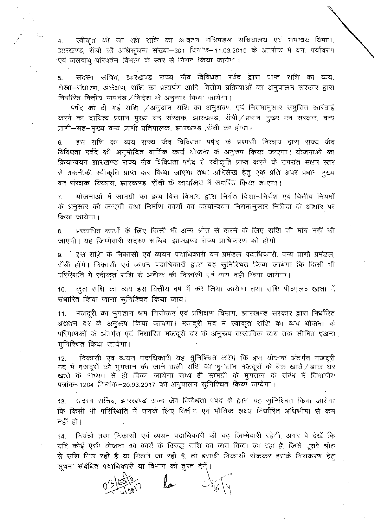स्वीकृत की जा रही राशि का आवंटन मंत्रिमंडल सचिवालय एवं समन्वय विभाग, झारखण्ड, राँची की अधिसूचना संख्या-301 दिनांक-11.03.2015 के आलोक में वन, पर्यावरण -एवं जलवाय् परिवर्तन विभाग के स्तर से निर्गत किया जायेगा।

5. सदस्य सचिव, झारखण्ड राज्य जैव विविधंता पर्षद द्वारा प्राप्त शशि का व्यय, राशि का प्रत्यर्पण आदि निर्धारित वित्तीय मापदंड/निदेश के अनुसार किया जायेगा।

को दी गई <mark>राशि</mark>  $\neq$ अनुदान राशि का अनुश्रवण एवं का दायित्व प्रधान मुख्य बन संरक्षक, झारखण्ड, राँची ⁄ प्रधान भुख्य वन प्राणी–सह–मुख्य वन्य प्राणी प्रतिपालक, झारखण्ड ,राँची का होगा।

6. इस राशि का व्यय राज्य जैव विविधता पर्षद के प्रशासी निकाय द्वारा राज्य जैव विविधता पर्षद की अनुमोदित वार्षिक कार्य योजना के अनुरुप किया जाएगा। योजनाओं का .<br>जैव विविधता पर्षद से स्वीकृति प्राप्त करने के उपरांत सक्षम प्राप्त कर किया जाएगा तथा अभिलेख हेतु एक प्रति अपर वन संरक्षक, विकास, झारखण्ड, राँची के कार्यालय में समर्पित किया जाएगा।

7. - योजनाओं में सामग्री का क्रय वित्त विभाग द्वारा निर्गत दिशा—निर्देश एवं किया जायेगा। के अनुसार की जाएगी तथा निर्माण कार्यों का कार्यान्वयन नियमानुसार निविदा के आधार पर

8. - प्रस्तावित कार्यों के लिए किसी भी अन्य श्रांत से जाएगी। यह जिम्मेवारी सदस्य सचिव, झारखण्ड राज्य प्राधिकरण को होगी।

9. इस राशि के निकासी एवं व्ययन पदाधिकारी वन प्रमंडल पदाधिकारी, वन्य प्राणी होंगे। निकासी एवं व्ययन पदाधिकारी द्वारा यह सुनिश्चित किया जायेगा कि

nd न स्वाकृत सारा से आवके का मकासा एवं प्वच नहां किया जायेगा।<br>कुल राशि का व्यय इस वित्तीय वर्ष में कर लिया जायेगा तथा राशि पी०एल०  $10.$ संधारित किया जाना सुनिश्चित किया जाय।

मजदूरी का भुगतान श्रम नियोजन एवं प्रशिक्षण विभाग, झारखण्ड सरकार द्वारा निर्धारित 11. अद्यतन दर के अनुरूप किया जायगा। मजदूरी मद में स्वीकृत राशि का व्यय योजना के परिमाणकों के अंतर्गत एवं निर्धारित मजदूरी दर के अनुरूप वास्तविक व्यय तक सीमित रखना सुनिश्चित किया जायेगा।

12. 7–1204 दिनांक–20.03.2017 को अनुपालन सुनिश्चित किया भुगतान की जाने वाली राशि का भुगतान मजदूरों के बैंक खाते $\,$ ं ही किया जायेगा साथ ही सामग्री के भुगतान के संबंध में<br>5–20.03.2017 का भनगात्वन समिषित्वत किया जायेगा। कि इस योजना अंतर्गत

13. सदस्य सांचव, झारखण्ड राज्य जय मायवता पपद के द्वारा पह सुाना<br>कि किसी भी परिस्थिति में उनके लिए वित्तीय एवं भौतिक लक्ष्य निर्धारित नहीं हो। तिविधता पर्षद के द्वारा यह

14. नियंत्री तथा निकासी एवं व्ययन पदाधिकारी की यह जिम्मेवारी रहेगी, अगर गयता उन देखने के लिए होता है। इस समय रहे हैं,<br>f का कार्य के विरुद्ध राशि का व्यय किया जा रहा है, ्रित रही है या मिलने जा रही है, तो सूचना संबंधित पदाधिकारी या विभाग को तुरंत देंगें।



 $\ell$